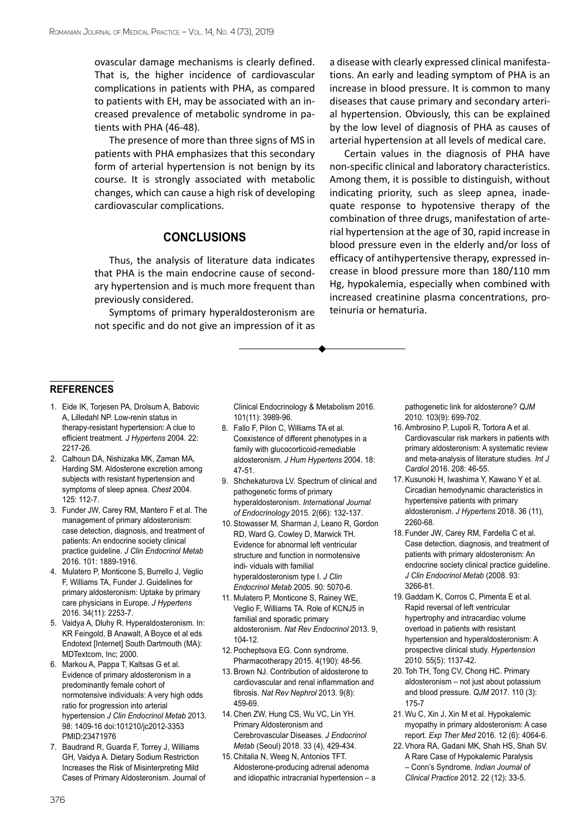ovascular damage mechanisms is clearly defined. That is, the higher incidence of cardiovascular complications in patients with PHA, as compared to patients with EH, may be associated with an increased prevalence of metabolic syndrome in patients with PHA (46-48).

The presence of more than three signs of MS in patients with PHA emphasizes that this secondary form of arterial hypertension is not benign by its course. It is strongly associated with metabolic changes, which can cause a high risk of developing cardiovascular complications.

## **Conclusions**

Thus, the analysis of literature data indicates that PHA is the main endocrine cause of secondary hypertension and is much more frequent than previously considered.

Symptoms of primary hyperaldosteronism are not specific and do not give an impression of it as a disease with clearly expressed clinical manifestations. An early and leading symptom of PHA is an increase in blood pressure. It is common to many diseases that cause primary and secondary arterial hypertension. Obviously, this can be explained by the low level of diagnosis of PHA as causes of arterial hypertension at all levels of medical care.

Certain values in the diagnosis of PHA have non-specific clinical and laboratory characteristics. Among them, it is possible to distinguish, without indicating priority, such as sleep apnea, inadequate response to hypotensive therapy of the combination of three drugs, manifestation of arterial hypertension at the age of 30, rapid increase in blood pressure even in the elderly and/or loss of efficacy of antihypertensive therapy, expressed increase in blood pressure more than 180/110 mm Hg, hypokalemia, especially when combined with increased creatinine plasma concentrations, proteinuria or hematuria.

## **references**

- 1. Eide IK, Torjesen PA, Drolsum A, Babovic A, Lilledahl NP. Low-renin status in therapy-resistant hypertension: A clue to efficient treatment. *J Hypertens* 2004. 22: 2217-26.
- 2. Calhoun DA, Nishizaka MK, Zaman MA, Harding SM. Aldosterone excretion among subjects with resistant hypertension and symptoms of sleep apnea. *Chest* 2004. 125: 112-7.
- 3. Funder JW, Carey RM, Mantero F et al. The management of primary aldosteronism: case detection, diagnosis, and treatment of patients: An endocrine society clinical practice guideline. *J Clin Endocrinol Metab* 2016. 101: 1889-1916.
- 4. Mulatero P, Monticone S, Burrello J, Veglio F, Williams TA, Funder J. Guidelines for primary aldosteronism: Uptake by primary care physicians in Europe. *J Hypertens* 2016. 34(11): 2253-7.
- 5. Vaidya A, Dluhy R. Hyperaldosteronism. In: KR Feingold, B Anawalt, A Boyce et al eds Endotext [Internet] South Dartmouth (MA): MDTextcom, Inc; 2000.
- 6. Markou A, Pappa T, Kaltsas G et al. Evidence of primary aldosteronism in a predominantly female cohort of normotensive individuals: A very high odds ratio for progression into arterial hypertension *J Clin Endocrinol Metab* 2013. 98: 1409-16 doi:101210/jc2012-3353 PMID:23471976
- 7. Baudrand R, Guarda F, Torrey J, Williams GH, Vaidya A. Dietary Sodium Restriction Increases the Risk of Misinterpreting Mild Cases of Primary Aldosteronism. Journal of

Clinical Endocrinology & Metabolism 2016. 101(11): 3989-96.

- 8. Fallo F, Pilon C, Williams TA et al. Coexistence of different phenotypes in a family with glucocorticoid-remediable aldosteronism. *J Hum Hypertens* 2004. 18: 47-51.
- 9. Shchekaturova LV. Spectrum of clinical and pathogenetic forms of primary hyperaldosteronism. *International Journal of Endocrinology* 2015. 2(66): 132-137.
- 10. Stowasser M, Sharman J, Leano R, Gordon RD, Ward G, Cowley D, Marwick TH. Evidence for abnormal left ventricular structure and function in normotensive indi- viduals with familial hyperaldosteronism type I. *J Clin Endocrinol Metab* 2005. 90: 5070-6.
- 11. Mulatero P, Monticone S, Rainey WE, Veglio F, Williams TA. Role of KCNJ5 in familial and sporadic primary aldosteronism. *Nat Rev Endocrinol* 2013. 9, 104-12.
- 12. Pocheptsova EG. Conn syndrome. Pharmacotherapy 2015. 4(190): 48-56.
- 13. Brown NJ. Contribution of aldosterone to cardiovascular and renal inflammation and fibrosis. *Nat Rev Nephrol* 2013. 9(8): 459-69.
- 14. Chen ZW, Hung CS, Wu VC, Lin YH. Primary Aldosteronism and Cerebrovascular Diseases. *J Endocrinol Metab* (Seoul) 2018. 33 (4), 429-434.
- 15. Chitalia N, Weeg N, Antonios TFT. Aldosterone-producing adrenal adenoma and idiopathic intracranial hypertension – a

pathogenetic link for aldosterone? *QJM*  2010. 103(9): 699-702.

- 16. Ambrosino P, Lupoli R, Tortora A et al. Cardiovascular risk markers in patients with primary aldosteronism: A systematic review and meta-analysis of literature studies. *Int J Cardiol* 2016. 208: 46-55.
- 17. Kusunoki H, Iwashima Y, Kawano Y et al. Circadian hemodynamic characteristics in hypertensive patients with primary aldosteronism. *J Hypertens* 2018. 36 (11), 2260-68.
- 18. Funder JW, Carey RM, Fardella C et al. Case detection, diagnosis, and treatment of patients with primary aldosteronism: An endocrine society clinical practice guideline. *J Clin Endocrinol Metab* (2008. 93: 3266-81.
- 19. Gaddam K, Corros C, Pimenta E et al. Rapid reversal of left ventricular hypertrophy and intracardiac volume overload in patients with resistant hypertension and hyperaldosteronism: A prospective clinical study. *Hypertension* 2010. 55(5): 1137-42.
- 20. Toh TH, Tong CV, Chong HC. Primary aldosteronism – not just about potassium and blood pressure. *QJM* 2017. 110 (3): 175-7
- 21. Wu C, Xin J, Xin M et al. Hypokalemic myopathy in primary aldosteronism: A case report. *Exp Ther Med* 2016. 12 (6): 4064-6.
- 22. Vhora RA, Gadani MK, Shah HS, Shah SV. A Rare Case of Hypokalemic Paralysis – Conn's Syndrome. *Indian Journal of Clinical Practice* 2012. 22 (12): 33-5.